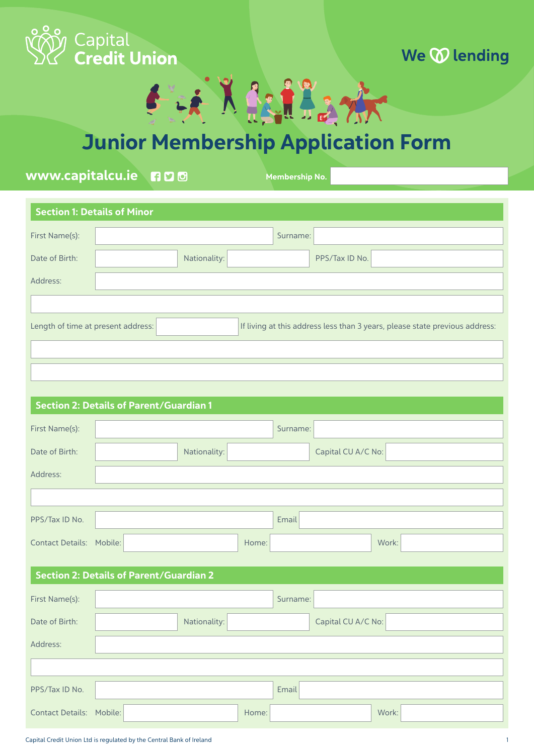

### We **W** lending



# Junior Membership Application Form

www.capitalcu.ie 100 Membership No.

|                          | <b>Section 1: Details of Minor</b>             |       |              |                                                                             |
|--------------------------|------------------------------------------------|-------|--------------|-----------------------------------------------------------------------------|
| First Name(s):           |                                                |       | Surname:     |                                                                             |
| Date of Birth:           | Nationality:                                   |       |              | PPS/Tax ID No.                                                              |
| Address:                 |                                                |       |              |                                                                             |
|                          |                                                |       |              |                                                                             |
|                          | Length of time at present address:             |       |              | If living at this address less than 3 years, please state previous address: |
|                          |                                                |       |              |                                                                             |
|                          |                                                |       |              |                                                                             |
|                          | <b>Section 2: Details of Parent/Guardian 1</b> |       |              |                                                                             |
|                          |                                                |       |              |                                                                             |
| First Name(s):           |                                                |       | Surname:     |                                                                             |
| Date of Birth:           | Nationality:                                   |       |              | Capital CU A/C No:                                                          |
| Address:                 |                                                |       |              |                                                                             |
|                          |                                                |       |              |                                                                             |
| PPS/Tax ID No.           |                                                |       | <b>Email</b> |                                                                             |
| Contact Details: Mobile: |                                                | Home: |              | Work:                                                                       |
|                          | <b>Section 2: Details of Parent/Guardian 2</b> |       |              |                                                                             |
|                          |                                                |       |              |                                                                             |
| First Name(s):           |                                                |       | Surname:     |                                                                             |
| Date of Birth:           | Nationality:                                   |       |              | Capital CU A/C No:                                                          |
| Address:                 |                                                |       |              |                                                                             |
|                          |                                                |       |              |                                                                             |
| PPS/Tax ID No.           |                                                |       | Email        |                                                                             |
| Contact Details: Mobile: |                                                | Home: |              | Work:                                                                       |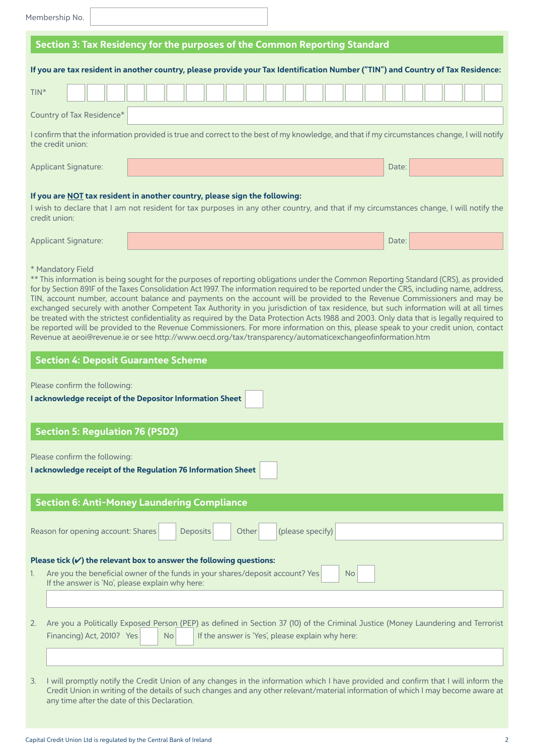| Membership No. |  |  |  |
|----------------|--|--|--|
|----------------|--|--|--|

#### Section 3: Tax Residency for the purposes of the Common Reporting Standard

If you are tax resident in another country, please provide your Tax Identification Number ("TIN") and Country of Tax Residence:

| $TIN^*$                                                                                                                                                          |  |  |  |  |  |  |  |  |  |       |  |  |
|------------------------------------------------------------------------------------------------------------------------------------------------------------------|--|--|--|--|--|--|--|--|--|-------|--|--|
| Country of Tax Residence*                                                                                                                                        |  |  |  |  |  |  |  |  |  |       |  |  |
| I confirm that the information provided is true and correct to the best of my knowledge, and that if my circumstances change, I will notify<br>the credit union: |  |  |  |  |  |  |  |  |  |       |  |  |
| <b>Applicant Signature:</b>                                                                                                                                      |  |  |  |  |  |  |  |  |  | Date: |  |  |
|                                                                                                                                                                  |  |  |  |  |  |  |  |  |  |       |  |  |

#### If you are NOT tax resident in another country, please sign the following:

I wish to declare that I am not resident for tax purposes in any other country, and that if my circumstances change, I will notify the credit union:

| <b>Applicant Signature:</b> | Date: |  |
|-----------------------------|-------|--|
|                             |       |  |

#### \* Mandatory Field

\*\* This information is being sought for the purposes of reporting obligations under the Common Reporting Standard (CRS), as provided for by Section 891F of the Taxes Consolidation Act 1997. The information required to be reported under the CRS, including name, address, TIN, account number, account balance and payments on the account will be provided to the Revenue Commissioners and may be exchanged securely with another Competent Tax Authority in you jurisdiction of tax residence, but such information will at all times be treated with the strictest confidentiality as required by the Data Protection Acts 1988 and 2003. Only data that is legally required to be reported will be provided to the Revenue Commissioners. For more information on this, please speak to your credit union, contact Revenue at aeoi@revenue.ie or see http://www.oecd.org/tax/transparency/automaticexchangeofinformation.htm

|    | <b>Section 4: Deposit Guarantee Scheme</b>                                                                                                                                                                                                                                                                              |
|----|-------------------------------------------------------------------------------------------------------------------------------------------------------------------------------------------------------------------------------------------------------------------------------------------------------------------------|
|    | Please confirm the following:<br>I acknowledge receipt of the Depositor Information Sheet                                                                                                                                                                                                                               |
|    | <b>Section 5: Regulation 76 (PSD2)</b>                                                                                                                                                                                                                                                                                  |
|    | Please confirm the following:<br>I acknowledge receipt of the Regulation 76 Information Sheet                                                                                                                                                                                                                           |
|    | <b>Section 6: Anti-Money Laundering Compliance</b>                                                                                                                                                                                                                                                                      |
|    | (please specify)<br>Reason for opening account: Shares<br>Deposits<br>Other                                                                                                                                                                                                                                             |
|    | Please tick $(v)$ the relevant box to answer the following questions:                                                                                                                                                                                                                                                   |
| 1. | Are you the beneficial owner of the funds in your shares/deposit account? Yes<br><b>No</b><br>If the answer is 'No', please explain why here:                                                                                                                                                                           |
|    |                                                                                                                                                                                                                                                                                                                         |
| 2. | Are you a Politically Exposed Person (PEP) as defined in Section 37 (10) of the Criminal Justice (Money Laundering and Terrorist<br>Financing) Act, 2010? Yes<br>If the answer is 'Yes', please explain why here:<br><b>No</b>                                                                                          |
|    |                                                                                                                                                                                                                                                                                                                         |
| 3. | I will promptly notify the Credit Union of any changes in the information which I have provided and confirm that I will inform the<br>Credit Union in writing of the details of such changes and any other relevant/material information of which I may become aware at<br>any time after the date of this Declaration. |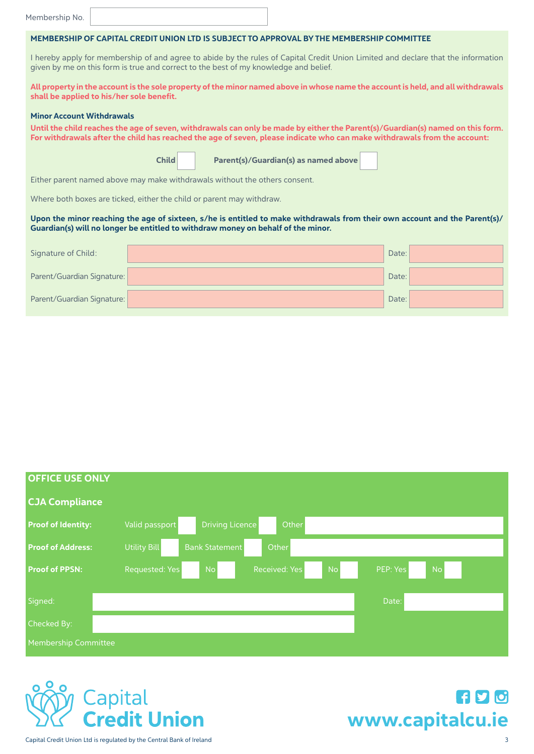| Membership No.                                                                                                                                                                                                                                                                                 |                                      |  |  |  |  |  |  |  |  |
|------------------------------------------------------------------------------------------------------------------------------------------------------------------------------------------------------------------------------------------------------------------------------------------------|--------------------------------------|--|--|--|--|--|--|--|--|
| MEMBERSHIP OF CAPITAL CREDIT UNION LTD IS SUBJECT TO APPROVAL BY THE MEMBERSHIP COMMITTEE                                                                                                                                                                                                      |                                      |  |  |  |  |  |  |  |  |
| I hereby apply for membership of and agree to abide by the rules of Capital Credit Union Limited and declare that the information<br>given by me on this form is true and correct to the best of my knowledge and belief.                                                                      |                                      |  |  |  |  |  |  |  |  |
| All property in the account is the sole property of the minor named above in whose name the account is held, and all withdrawals<br>shall be applied to his/her sole benefit.                                                                                                                  |                                      |  |  |  |  |  |  |  |  |
| <b>Minor Account Withdrawals</b><br>Until the child reaches the age of seven, withdrawals can only be made by either the Parent(s)/Guardian(s) named on this form.<br>For withdrawals after the child has reached the age of seven, please indicate who can make withdrawals from the account: |                                      |  |  |  |  |  |  |  |  |
| <b>Child</b>                                                                                                                                                                                                                                                                                   | Parent(s)/Guardian(s) as named above |  |  |  |  |  |  |  |  |
| Either parent named above may make withdrawals without the others consent.                                                                                                                                                                                                                     |                                      |  |  |  |  |  |  |  |  |
| Where both boxes are ticked, either the child or parent may withdraw.                                                                                                                                                                                                                          |                                      |  |  |  |  |  |  |  |  |
| Upon the minor reaching the age of sixteen, s/he is entitled to make withdrawals from their own account and the Parent(s)/<br>Guardian(s) will no longer be entitled to withdraw money on behalf of the minor.                                                                                 |                                      |  |  |  |  |  |  |  |  |
| Signature of Child:                                                                                                                                                                                                                                                                            | Date:                                |  |  |  |  |  |  |  |  |
| Parent/Guardian Signature:                                                                                                                                                                                                                                                                     | Date:                                |  |  |  |  |  |  |  |  |

Parent/Guardian Signature: Date: Date: Date: Date: Date: Date: Date: Date: Date: Date: Date: Date: Date: Date:

| <b>OFFICE USE ONLY</b>      |                       |                        |                      |           |          |           |  |
|-----------------------------|-----------------------|------------------------|----------------------|-----------|----------|-----------|--|
| <b>CJA Compliance</b>       |                       |                        |                      |           |          |           |  |
| <b>Proof of Identity:</b>   | Valid passport        | <b>Driving Licence</b> | Other                |           |          |           |  |
| <b>Proof of Address:</b>    | <b>Utility Bill</b>   | <b>Bank Statement</b>  | Other                |           |          |           |  |
| <b>Proof of PPSN:</b>       | <b>Requested: Yes</b> | No                     | <b>Received: Yes</b> | <b>No</b> | PEP: Yes | <b>No</b> |  |
| Signed:                     |                       |                        |                      |           | Date:    |           |  |
|                             |                       |                        |                      |           |          |           |  |
| Checked By:                 |                       |                        |                      |           |          |           |  |
| <b>Membership Committee</b> |                       |                        |                      |           |          |           |  |
|                             |                       |                        |                      |           |          |           |  |



## FDO www.capitalcu.ie

Capital Credit Union Ltd is regulated by the Central Bank of Ireland 33